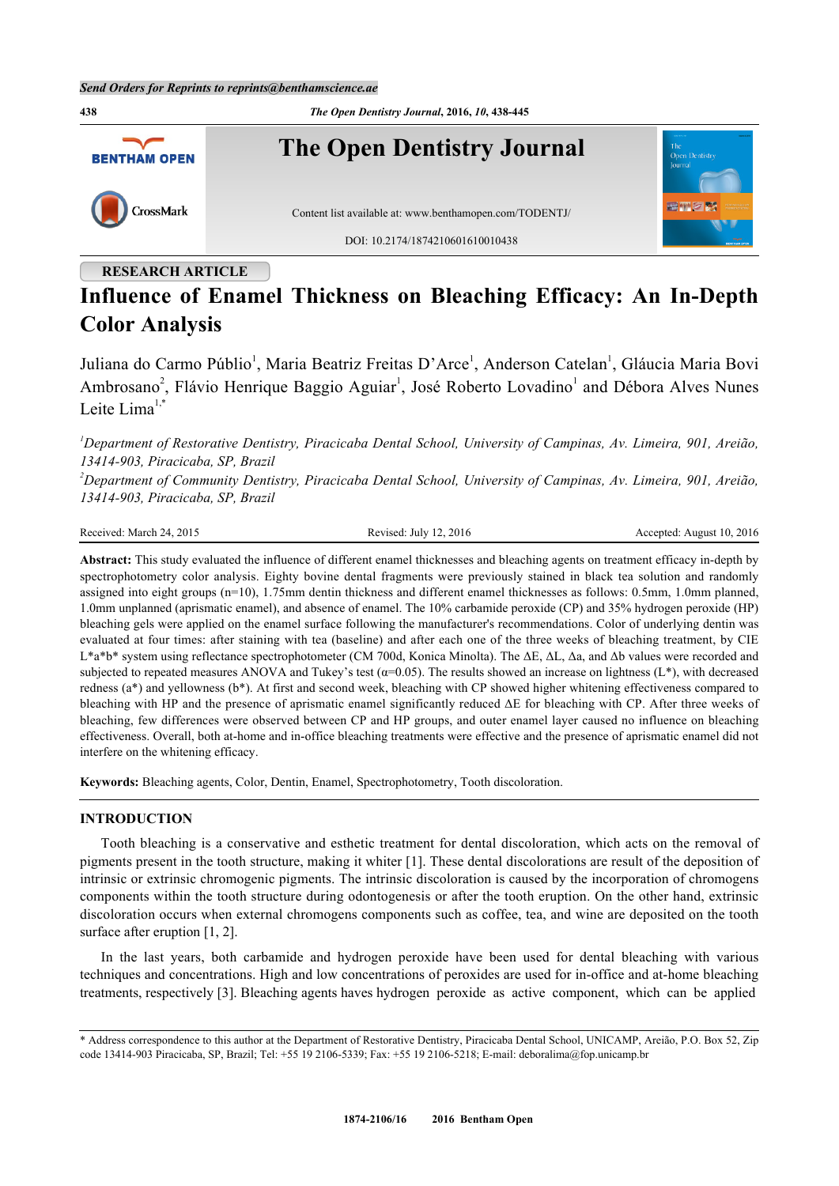

## **RESEARCH ARTICLE**

# **Influence of Enamel Thickness on Bleaching Efficacy: An In-Depth Color Analysis**

Juliana do Carmo Públio<sup>[1](#page-0-0)</sup>, Maria Beatriz Freitas D'Arce<sup>1</sup>, Anderson Catelan<sup>1</sup>, Gláucia Maria Bovi Ambrosano<sup>[2](#page-0-1)</sup>, Flávio Henrique Baggio Aguiar<sup>[1](#page-0-0)</sup>, José Roberto Lovadino<sup>1</sup> and Débora Alves Nunes Leite Lima $1,$ [\\*](#page-0-2)

<span id="page-0-0"></span>*<sup>1</sup>Department of Restorative Dentistry, Piracicaba Dental School, University of Campinas, Av. Limeira, 901, Areião, 13414-903, Piracicaba, SP, Brazil*

<span id="page-0-1"></span>*<sup>2</sup>Department of Community Dentistry, Piracicaba Dental School, University of Campinas, Av. Limeira, 901, Areião, 13414-903, Piracicaba, SP, Brazil*

| Received: March 24, 2015 |  |  |  |
|--------------------------|--|--|--|
|--------------------------|--|--|--|

Revised: July 12, 2016 Revised: August 10, 2016

**Abstract:** This study evaluated the influence of different enamel thicknesses and bleaching agents on treatment efficacy in-depth by spectrophotometry color analysis. Eighty bovine dental fragments were previously stained in black tea solution and randomly assigned into eight groups (n=10), 1.75mm dentin thickness and different enamel thicknesses as follows: 0.5mm, 1.0mm planned, 1.0mm unplanned (aprismatic enamel), and absence of enamel. The 10% carbamide peroxide (CP) and 35% hydrogen peroxide (HP) bleaching gels were applied on the enamel surface following the manufacturer's recommendations. Color of underlying dentin was evaluated at four times: after staining with tea (baseline) and after each one of the three weeks of bleaching treatment, by CIE L\*a\*b\* system using reflectance spectrophotometer (CM 700d, Konica Minolta). The ΔE, ΔL, Δa, and Δb values were recorded and subjected to repeated measures ANOVA and Tukey's test  $(a=0.05)$ . The results showed an increase on lightness  $(L^*)$ , with decreased redness (a\*) and yellowness (b\*). At first and second week, bleaching with CP showed higher whitening effectiveness compared to bleaching with HP and the presence of aprismatic enamel significantly reduced ΔE for bleaching with CP. After three weeks of bleaching, few differences were observed between CP and HP groups, and outer enamel layer caused no influence on bleaching effectiveness. Overall, both at-home and in-office bleaching treatments were effective and the presence of aprismatic enamel did not interfere on the whitening efficacy.

**Keywords:** Bleaching agents, Color, Dentin, Enamel, Spectrophotometry, Tooth discoloration.

#### **INTRODUCTION**

Tooth bleaching is a conservative and esthetic treatment for dental discoloration, which acts on the removal of pigments present in the tooth structure, making it whiter [\[1\]](#page-5-0). These dental discolorations are result of the deposition of intrinsic or extrinsic chromogenic pigments. The intrinsic discoloration is caused by the incorporation of chromogens components within the tooth structure during odontogenesis or after the tooth eruption. On the other hand, extrinsic discoloration occurs when external chromogens components such as coffee, tea, and wine are deposited on the tooth surface after eruption [\[1](#page-5-0), [2](#page-5-1)].

In the last years, both carbamide and hydrogen peroxide have been used for dental bleaching with various techniques and concentrations. High and low concentrations of peroxides are used for in-office and at-home bleaching treatments, respectively [[3\]](#page-5-2). Bleaching agents haves hydrogen peroxide as active component, which can be applied

<span id="page-0-2"></span><sup>\*</sup> Address correspondence to this author at the Department of Restorative Dentistry, Piracicaba Dental School, UNICAMP, Areião, P.O. Box 52, Zip code 13414-903 Piracicaba, SP, Brazil; Tel: +55 19 2106-5339; Fax: +55 19 2106-5218; E-mail: [deboralima@fop.unicamp.br](mailto:deboralima@fop.unicamp.br)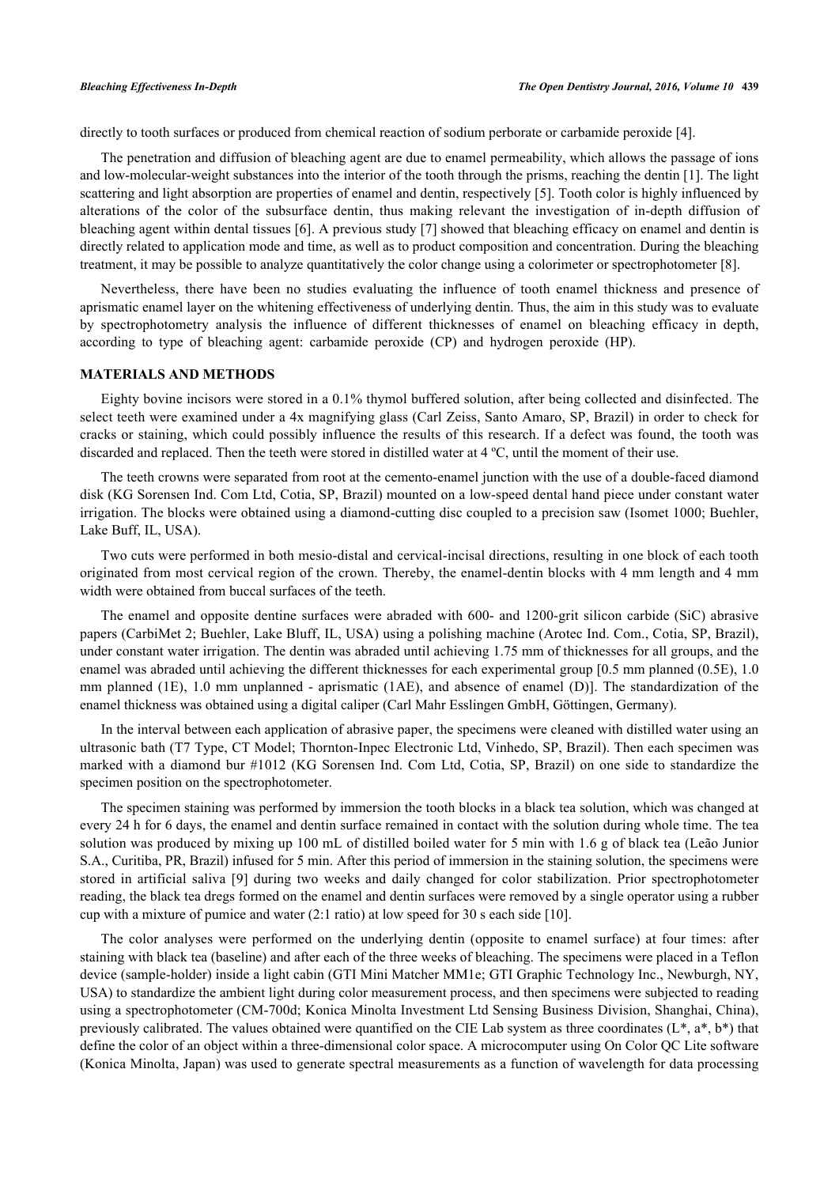directly to tooth surfaces or produced from chemical reaction of sodium perborate or carbamide peroxide [[4\]](#page-5-3).

The penetration and diffusion of bleaching agent are due to enamel permeability, which allows the passage of ions and low-molecular-weight substances into the interior of the tooth through the prisms, reaching the dentin [[1\]](#page-5-0). The light scattering and light absorption are properties of enamel and dentin, respectively [[5\]](#page-5-4). Tooth color is highly influenced by alterations of the color of the subsurface dentin, thus making relevant the investigation of in-depth diffusion of bleaching agent within dental tissues [[6\]](#page-5-5). A previous study [[7\]](#page-6-0) showed that bleaching efficacy on enamel and dentin is directly related to application mode and time, as well as to product composition and concentration. During the bleaching treatment, it may be possible to analyze quantitatively the color change using a colorimeter or spectrophotometer [[8\]](#page-6-1).

Nevertheless, there have been no studies evaluating the influence of tooth enamel thickness and presence of aprismatic enamel layer on the whitening effectiveness of underlying dentin. Thus, the aim in this study was to evaluate by spectrophotometry analysis the influence of different thicknesses of enamel on bleaching efficacy in depth, according to type of bleaching agent: carbamide peroxide (CP) and hydrogen peroxide (HP).

#### **MATERIALS AND METHODS**

Eighty bovine incisors were stored in a 0.1% thymol buffered solution, after being collected and disinfected. The select teeth were examined under a 4x magnifying glass (Carl Zeiss, Santo Amaro, SP, Brazil) in order to check for cracks or staining, which could possibly influence the results of this research. If a defect was found, the tooth was discarded and replaced. Then the teeth were stored in distilled water at 4 ºC, until the moment of their use.

The teeth crowns were separated from root at the cemento-enamel junction with the use of a double-faced diamond disk (KG Sorensen Ind. Com Ltd, Cotia, SP, Brazil) mounted on a low-speed dental hand piece under constant water irrigation. The blocks were obtained using a diamond-cutting disc coupled to a precision saw (Isomet 1000; Buehler, Lake Buff, IL, USA).

Two cuts were performed in both mesio-distal and cervical-incisal directions, resulting in one block of each tooth originated from most cervical region of the crown. Thereby, the enamel-dentin blocks with 4 mm length and 4 mm width were obtained from buccal surfaces of the teeth.

The enamel and opposite dentine surfaces were abraded with 600- and 1200-grit silicon carbide (SiC) abrasive papers (CarbiMet 2; Buehler, Lake Bluff, IL, USA) using a polishing machine (Arotec Ind. Com., Cotia, SP, Brazil), under constant water irrigation. The dentin was abraded until achieving 1.75 mm of thicknesses for all groups, and the enamel was abraded until achieving the different thicknesses for each experimental group [0.5 mm planned (0.5E), 1.0 mm planned (1E), 1.0 mm unplanned - aprismatic (1AE), and absence of enamel (D)]. The standardization of the enamel thickness was obtained using a digital caliper (Carl Mahr Esslingen GmbH, Göttingen, Germany).

In the interval between each application of abrasive paper, the specimens were cleaned with distilled water using an ultrasonic bath (T7 Type, CT Model; Thornton-Inpec Electronic Ltd, Vinhedo, SP, Brazil). Then each specimen was marked with a diamond bur #1012 (KG Sorensen Ind. Com Ltd, Cotia, SP, Brazil) on one side to standardize the specimen position on the spectrophotometer.

The specimen staining was performed by immersion the tooth blocks in a black tea solution, which was changed at every 24 h for 6 days, the enamel and dentin surface remained in contact with the solution during whole time. The tea solution was produced by mixing up 100 mL of distilled boiled water for 5 min with 1.6 g of black tea (Leão Junior S.A., Curitiba, PR, Brazil) infused for 5 min. After this period of immersion in the staining solution, the specimens were stored in artificial saliva[[9\]](#page-6-2) during two weeks and daily changed for color stabilization. Prior spectrophotometer reading, the black tea dregs formed on the enamel and dentin surfaces were removed by a single operator using a rubber cup with a mixture of pumice and water (2:1 ratio) at low speed for 30 s each side [[10\]](#page-6-3).

The color analyses were performed on the underlying dentin (opposite to enamel surface) at four times: after staining with black tea (baseline) and after each of the three weeks of bleaching. The specimens were placed in a Teflon device (sample-holder) inside a light cabin (GTI Mini Matcher MM1e; GTI Graphic Technology Inc., Newburgh, NY, USA) to standardize the ambient light during color measurement process, and then specimens were subjected to reading using a spectrophotometer (CM-700d; Konica Minolta Investment Ltd Sensing Business Division, Shanghai, China), previously calibrated. The values obtained were quantified on the CIE Lab system as three coordinates  $(L^*, a^*, b^*)$  that define the color of an object within a three-dimensional color space. A microcomputer using On Color QC Lite software (Konica Minolta, Japan) was used to generate spectral measurements as a function of wavelength for data processing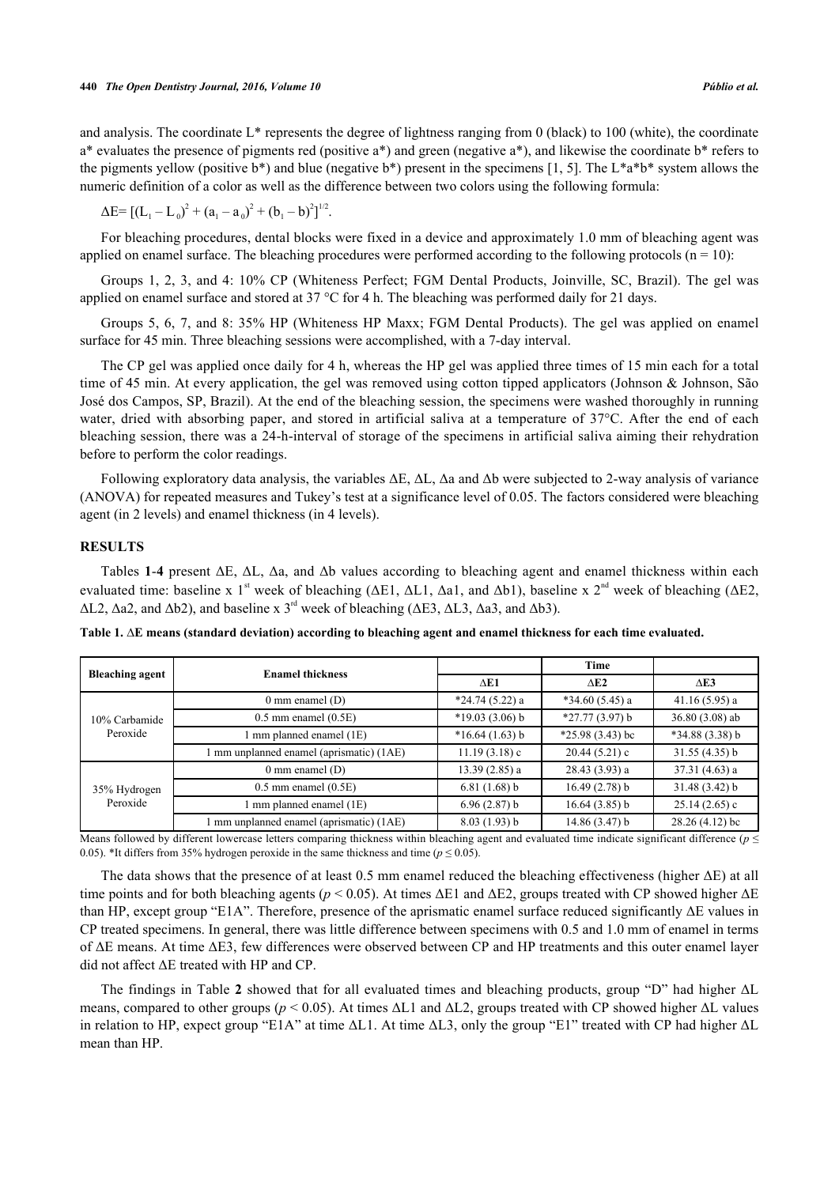and analysis. The coordinate L\* represents the degree of lightness ranging from 0 (black) to 100 (white), the coordinate a\* evaluates the presence of pigments red (positive a\*) and green (negative a\*), and likewise the coordinate b\* refers to the pigments yellow (positive b\*) and blue (negative b\*) present in the specimens [[1](#page-5-0), [5](#page-5-4)]. The L\*a\*b\* system allows the numeric definition of a color as well as the difference between two colors using the following formula:

 $\Delta E = [(L_1 - L_0)^2 + (a_1 - a_0)^2 + (b_1 - b)^2]^{1/2}.$ 

For bleaching procedures, dental blocks were fixed in a device and approximately 1.0 mm of bleaching agent was applied on enamel surface. The bleaching procedures were performed according to the following protocols  $(n = 10)$ :

Groups 1, 2, 3, and 4: 10% CP (Whiteness Perfect; FGM Dental Products, Joinville, SC, Brazil). The gel was applied on enamel surface and stored at 37 °C for 4 h. The bleaching was performed daily for 21 days.

Groups 5, 6, 7, and 8: 35% HP (Whiteness HP Maxx; FGM Dental Products). The gel was applied on enamel surface for 45 min. Three bleaching sessions were accomplished, with a 7-day interval.

The CP gel was applied once daily for 4 h, whereas the HP gel was applied three times of 15 min each for a total time of 45 min. At every application, the gel was removed using cotton tipped applicators (Johnson & Johnson, São José dos Campos, SP, Brazil). At the end of the bleaching session, the specimens were washed thoroughly in running water, dried with absorbing paper, and stored in artificial saliva at a temperature of 37°C. After the end of each bleaching session, there was a 24-h-interval of storage of the specimens in artificial saliva aiming their rehydration before to perform the color readings.

Following exploratory data analysis, the variables ΔE,  $ΔL$ ,  $Δa$  and  $Δb$  were subjected to 2-way analysis of variance (ANOVA) for repeated measures and Tukey's test at a significance level of 0.05. The factors considered were bleaching agent (in 2 levels) and enamel thickness (in 4 levels).

### **RESULTS**

Tables **[1](#page-2-0)**-**[4](#page-3-0)** present ΔE, ΔL, Δa, and Δb values according to bleaching agent and enamel thickness within each evaluated time: baseline x 1<sup>st</sup> week of bleaching ( $\Delta E1$ ,  $\Delta L1$ ,  $\Delta a1$ , and  $\Delta b1$ ), baseline x 2<sup>nd</sup> week of bleaching ( $\Delta E2$ ,  $\Delta$ L2,  $\Delta$ a2, and  $\Delta$ b2), and baseline x 3<sup>rd</sup> week of bleaching ( $\Delta$ E3,  $\Delta$ L3,  $\Delta$ a3, and  $\Delta$ b3).

<span id="page-2-0"></span>**Table 1. ∆E means (standard deviation) according to bleaching agent and enamel thickness for each time evaluated.**

|                           | <b>Enamel thickness</b>                |                  | Time              |                  |
|---------------------------|----------------------------------------|------------------|-------------------|------------------|
| <b>Bleaching agent</b>    |                                        | $\triangle$ E1   | $\triangle$ E2    | $\triangle$ E3   |
| 10% Carbamide<br>Peroxide | $0 \text{ mm}$ enamel $(D)$            | $*24.74(5.22)a$  | $*34.60(5.45)$ a  | 41.16(5.95) a    |
|                           | $0.5$ mm enamel $(0.5E)$               | $*19.03(3.06)$ b | $*27.77(3.97) b$  | $36.80(3.08)$ ab |
|                           | mm planned enamel (1E)                 | $*16.64(1.63) b$ | $*25.98(3.43)$ bc | $*34.88(3.38)$ b |
|                           | mm unplanned enamel (aprismatic) (1AE) | 11.19(3.18)c     | 20.44(5.21)c      | 31.55(4.35)b     |
| 35% Hydrogen<br>Peroxide  | $0 \text{ mm}$ enamel $(D)$            | 13.39(2.85) a    | 28.43(3.93)a      | $37.31(4.63)$ a  |
|                           | $0.5$ mm enamel $(0.5E)$               | $6.81(1.68)$ b   | 16.49(2.78) b     | 31.48(3.42) b    |
|                           | mm planned enamel (1E)                 | $6.96(2.87)$ b   | 16.64(3.85) b     | $25.14(2.65)$ c  |
|                           | mm unplanned enamel (aprismatic) (1AE) | 8.03(1.93) b     | 14.86(3.47) b     | $28.26(4.12)$ bc |

Means followed by different lowercase letters comparing thickness within bleaching agent and evaluated time indicate significant difference (*p* ≤ 0.05). \*It differs from 35% hydrogen peroxide in the same thickness and time ( $p \le 0.05$ ).

The data shows that the presence of at least 0.5 mm enamel reduced the bleaching effectiveness (higher  $\Delta E$ ) at all time points and for both bleaching agents (*p* < 0.05). At times ΔE1 and ΔE2, groups treated with CP showed higher ΔE than HP, except group "E1A". Therefore, presence of the aprismatic enamel surface reduced significantly ΔE values in CP treated specimens. In general, there was little difference between specimens with 0.5 and 1.0 mm of enamel in terms of ΔE means. At time ΔE3, few differences were observed between CP and HP treatments and this outer enamel layer did not affect ΔE treated with HP and CP.

The findings in Table **[2](#page-3-1)** showed that for all evaluated times and bleaching products, group "D" had higher ΔL means, compared to other groups (*p* < 0.05). At times ΔL1 and ΔL2, groups treated with CP showed higher ΔL values in relation to HP, expect group "E1A" at time ΔL1. At time ΔL3, only the group "E1" treated with CP had higher ΔL mean than HP.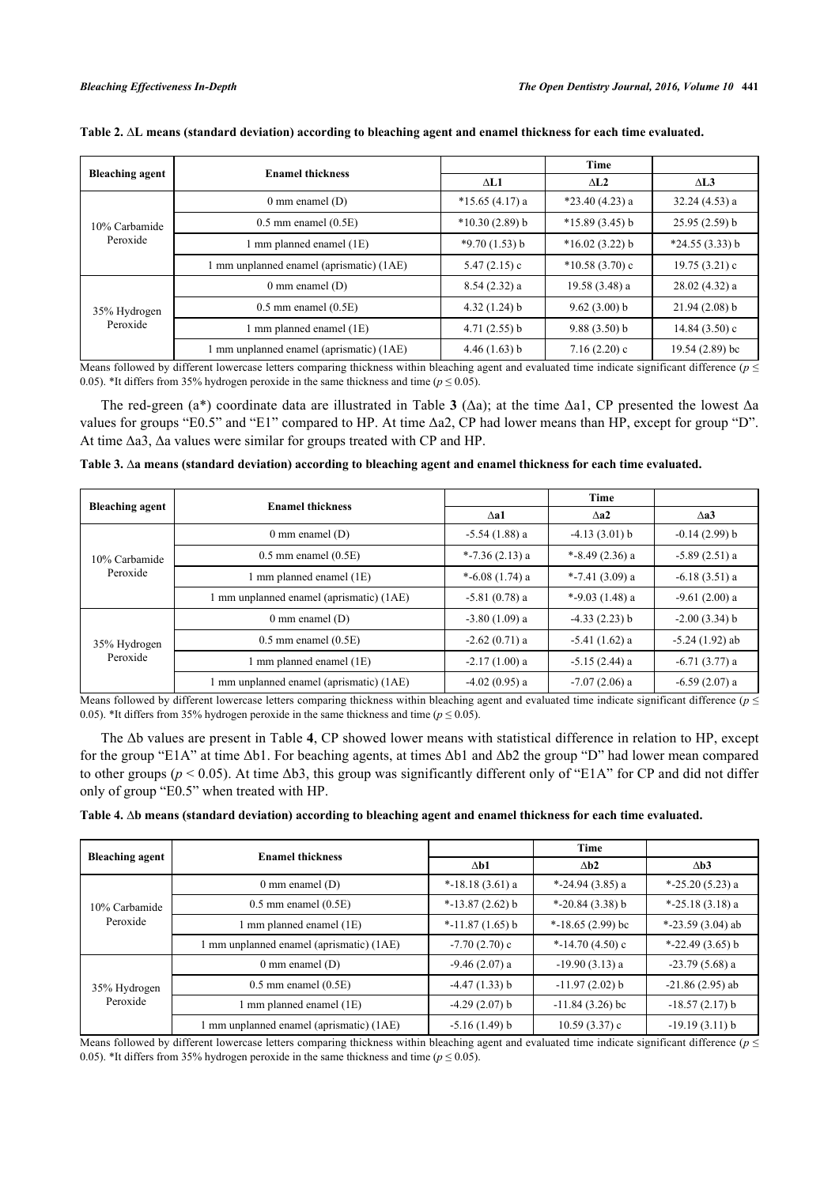|                           | <b>Enamel thickness</b>                  |                  | Time             |                  |
|---------------------------|------------------------------------------|------------------|------------------|------------------|
| <b>Bleaching agent</b>    |                                          | $\Delta L1$      | $\Delta$ L2      | $\triangle$ L3   |
| 10% Carbamide<br>Peroxide | $0 \text{ mm}$ enamel $(D)$              | $*15.65(4.17)$ a | $*23.40(4.23)$ a | $32.24(4.53)$ a  |
|                           | $0.5$ mm enamel $(0.5E)$                 | $*10.30(2.89) b$ | $*15.89(3.45)$ b | $25.95(2.59)$ b  |
|                           | $\text{mm}$ planned enamel (1E)          | $*9.70(1.53) b$  | $*16.02(3.22)$ b | $*24.55(3.33) b$ |
|                           | 1 mm unplanned enamel (aprismatic) (1AE) | 5.47 $(2.15)$ c  | $*10.58(3.70)$ c | 19.75(3.21)c     |
| 35% Hydrogen<br>Peroxide  | $0 \text{ mm}$ enamel $(D)$              | $8.54(2.32)$ a   | $19.58(3.48)$ a  | 28.02(4.32)a     |
|                           | $0.5$ mm enamel $(0.5E)$                 | $4.32(1.24)$ b   | $9.62(3.00)$ b   | $21.94(2.08)$ b  |
|                           | mm planned enamel (1E)                   | $4.71(2.55)$ b   | $9.88(3.50)$ b   | 14.84(3.50)c     |
|                           | 1 mm unplanned enamel (aprismatic) (1AE) | 4.46(1.63) b     | $7.16(2.20)$ c   | $19.54(2.89)$ bc |

<span id="page-3-1"></span>

| Table 2. AL means (standard deviation) according to bleaching agent and enamel thickness for each time evaluated. |  |  |
|-------------------------------------------------------------------------------------------------------------------|--|--|
|                                                                                                                   |  |  |

Means followed by different lowercase letters comparing thickness within bleaching agent and evaluated time indicate significant difference (*p* ≤ 0.05). \*It differs from 35% hydrogen peroxide in the same thickness and time ( $p \le 0.05$ ).

The red-green (a\*) coordinate data are illustrated in Table **[3](#page-3-2)** (Δa); at the time Δa1, CP presented the lowest Δa values for groups "E0.5" and "E1" compared to HP. At time Δa2, CP had lower means than HP, except for group "D". At time Δa3, Δa values were similar for groups treated with CP and HP.

<span id="page-3-2"></span>

|  |  |  |  | Table 3. ∆a means (standard deviation) according to bleaching agent and enamel thickness for each time evaluated. |
|--|--|--|--|-------------------------------------------------------------------------------------------------------------------|
|--|--|--|--|-------------------------------------------------------------------------------------------------------------------|

| <b>Bleaching agent</b><br><b>Enamel thickness</b> |                                          |                   | <b>Time</b>       |                  |
|---------------------------------------------------|------------------------------------------|-------------------|-------------------|------------------|
|                                                   |                                          | $\Lambda$ a1      | $\wedge a2$       | $\Lambda$ a3     |
| 10% Carbamide<br>Peroxide                         | $0 \text{ mm}$ enamel $(D)$              | $-5.54(1.88)$ a   | $-4.13(3.01) b$   | $-0.14(2.99) b$  |
|                                                   | $0.5$ mm enamel $(0.5E)$                 | *-7.36 $(2.13)$ a | *-8.49 $(2.36)$ a | $-5.89(2.51)$ a  |
|                                                   | 1 mm planned enamel (1E)                 | *-6.08 $(1.74)$ a | *-7.41 $(3.09)$ a | $-6.18(3.51)$ a  |
|                                                   | mm unplanned enamel (aprismatic) (1AE)   | $-5.81(0.78)$ a   | *-9.03 $(1.48)$ a | $-9.61(2.00)$ a  |
| 35% Hydrogen<br>Peroxide                          | $0 \text{ mm}$ enamel $(D)$              | $-3.80(1.09)$ a   | $-4.33(2.23)$ b   | $-2.00(3.34)$ b  |
|                                                   | $0.5$ mm enamel $(0.5E)$                 | $-2.62(0.71)$ a   | $-5.41(1.62)$ a   | $-5.24(1.92)$ ab |
|                                                   | 1 mm planned enamel (1E)                 | $-2.17(1.00)$ a   | $-5.15(2.44)$ a   | $-6.71(3.77)$ a  |
|                                                   | 1 mm unplanned enamel (aprismatic) (1AE) | $-4.02(0.95)$ a   | $-7.07(2.06)$ a   | $-6.59(2.07)$ a  |

Means followed by different lowercase letters comparing thickness within bleaching agent and evaluated time indicate significant difference (*p* ≤ 0.05). \*It differs from 35% hydrogen peroxide in the same thickness and time ( $p \le 0.05$ ).

The Δb values are present in Table **[4](#page-3-0)**, CP showed lower means with statistical difference in relation to HP, except for the group "E1A" at time Δb1. For beaching agents, at times Δb1 and Δb2 the group "D" had lower mean compared to other groups ( $p < 0.05$ ). At time  $\Delta b3$ , this group was significantly different only of "E1A" for CP and did not differ only of group "E0.5" when treated with HP.

<span id="page-3-0"></span>

|  | Table 4. Ab means (standard deviation) according to bleaching agent and enamel thickness for each time evaluated. |  |  |
|--|-------------------------------------------------------------------------------------------------------------------|--|--|
|  |                                                                                                                   |  |  |

|                           | <b>Enamel thickness</b>                  |                     | <b>Time</b>         |                     |
|---------------------------|------------------------------------------|---------------------|---------------------|---------------------|
| <b>Bleaching agent</b>    |                                          | $\Delta b1$         | $\Delta b2$         | $\Delta b3$         |
| 10% Carbamide<br>Peroxide | $0 \text{ mm}$ enamel $(D)$              | $*$ -18.18 (3.61) a | *-24.94 $(3.85)$ a  | *-25.20 $(5.23)$ a  |
|                           | $0.5$ mm enamel $(0.5E)$                 | $*$ -13.87 (2.62) b | $*$ -20.84 (3.38) b | $*$ -25.18 (3.18) a |
|                           | 1 mm planned enamel (1E)                 | $*$ -11.87 (1.65) b | *-18.65 $(2.99)$ bc | *-23.59 $(3.04)$ ab |
|                           | 1 mm unplanned enamel (aprismatic) (1AE) | $-7.70(2.70)$ c     | *-14.70 $(4.50)$ c  | $*$ -22.49 (3.65) b |
| 35% Hydrogen<br>Peroxide  | $0 \text{ mm}$ enamel $(D)$              | $-9.46(2.07)$ a     | $-19.90(3.13)$ a    | $-23.79(5.68)$ a    |
|                           | $0.5$ mm enamel $(0.5E)$                 | $-4.47(1.33)$ b     | $-11.97(2.02)$ b    | $-21.86(2.95)$ ab   |
|                           | 1 mm planned enamel (1E)                 | $-4.29(2.07)$ b     | $-11.84(3.26)$ bc   | $-18.57(2.17)$ b    |
|                           | 1 mm unplanned enamel (aprismatic) (1AE) | $-5.16(1.49)$ b     | $10.59(3.37)$ c     | $-19.19(3.11) b$    |

Means followed by different lowercase letters comparing thickness within bleaching agent and evaluated time indicate significant difference ( $p \leq$ 0.05). \*It differs from 35% hydrogen peroxide in the same thickness and time ( $p \le 0.05$ ).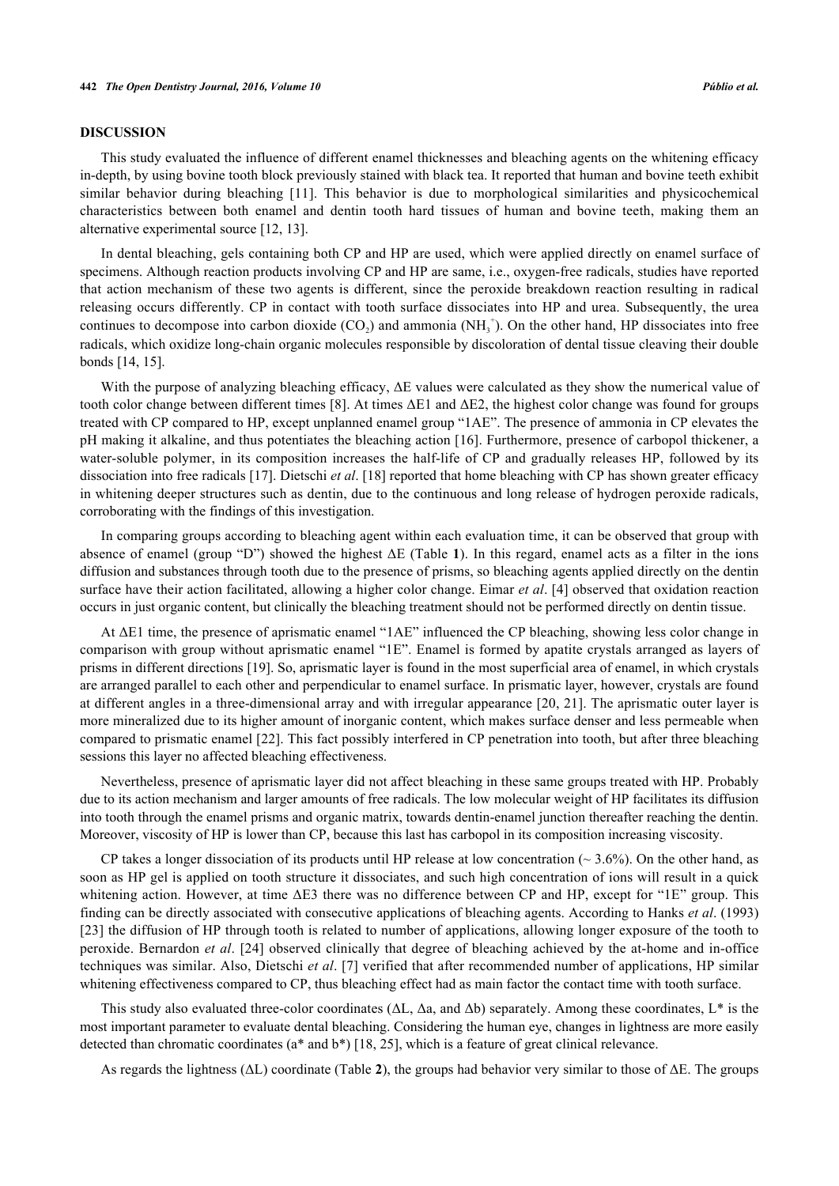#### **DISCUSSION**

This study evaluated the influence of different enamel thicknesses and bleaching agents on the whitening efficacy in-depth, by using bovine tooth block previously stained with black tea. It reported that human and bovine teeth exhibit similar behavior during bleaching [\[11](#page-6-4)]. This behavior is due to morphological similarities and physicochemical characteristics between both enamel and dentin tooth hard tissues of human and bovine teeth, making them an alternative experimental source [\[12](#page-6-5), [13](#page-6-6)].

In dental bleaching, gels containing both CP and HP are used, which were applied directly on enamel surface of specimens. Although reaction products involving CP and HP are same, i.e., oxygen-free radicals, studies have reported that action mechanism of these two agents is different, since the peroxide breakdown reaction resulting in radical releasing occurs differently. CP in contact with tooth surface dissociates into HP and urea. Subsequently, the urea continues to decompose into carbon dioxide  $(CO_2)$  and ammonia  $(NH_3^+)$ . On the other hand, HP dissociates into free radicals, which oxidize long-chain organic molecules responsible by discoloration of dental tissue cleaving their double bonds [\[14](#page-6-7), [15](#page-6-8)].

With the purpose of analyzing bleaching efficacy, ΔE values were calculated as they show the numerical value of tooth color change between different times [[8\]](#page-6-1). At times ΔE1 and ΔE2, the highest color change was found for groups treated with CP compared to HP, except unplanned enamel group "1AE". The presence of ammonia in CP elevates the pH making it alkaline, and thus potentiates the bleaching action [\[16](#page-6-9)]. Furthermore, presence of carbopol thickener, a water-soluble polymer, in its composition increases the half-life of CP and gradually releases HP, followed by its dissociation into free radicals [\[17](#page-6-10)]. Dietschi *et al*. [[18\]](#page-6-11) reported that home bleaching with CP has shown greater efficacy in whitening deeper structures such as dentin, due to the continuous and long release of hydrogen peroxide radicals, corroborating with the findings of this investigation.

In comparing groups according to bleaching agent within each evaluation time, it can be observed that group with absence of enamel (group "D") showed the highest ΔE (Table **[1](#page-2-0)**). In this regard, enamel acts as a filter in the ions diffusion and substances through tooth due to the presence of prisms, so bleaching agents applied directly on the dentin surface have their action facilitated, allowing a higher color change. Eimar *et al*. [[4](#page-5-3)] observed that oxidation reaction occurs in just organic content, but clinically the bleaching treatment should not be performed directly on dentin tissue.

At ΔE1 time, the presence of aprismatic enamel "1AE" influenced the CP bleaching, showing less color change in comparison with group without aprismatic enamel "1E". Enamel is formed by apatite crystals arranged as layers of prisms in different directions [[19\]](#page-6-12). So, aprismatic layer is found in the most superficial area of enamel, in which crystals are arranged parallel to each other and perpendicular to enamel surface. In prismatic layer, however, crystals are found at different angles in a three-dimensional array and with irregular appearance [\[20,](#page-6-13) [21](#page-6-14)]. The aprismatic outer layer is more mineralized due to its higher amount of inorganic content, which makes surface denser and less permeable when compared to prismatic enamel [\[22](#page-6-15)]. This fact possibly interfered in CP penetration into tooth, but after three bleaching sessions this layer no affected bleaching effectiveness.

Nevertheless, presence of aprismatic layer did not affect bleaching in these same groups treated with HP. Probably due to its action mechanism and larger amounts of free radicals. The low molecular weight of HP facilitates its diffusion into tooth through the enamel prisms and organic matrix, towards dentin-enamel junction thereafter reaching the dentin. Moreover, viscosity of HP is lower than CP, because this last has carbopol in its composition increasing viscosity.

CP takes a longer dissociation of its products until HP release at low concentration ( $\sim$  3.6%). On the other hand, as soon as HP gel is applied on tooth structure it dissociates, and such high concentration of ions will result in a quick whitening action. However, at time ΔE3 there was no difference between CP and HP, except for "1E" group. This finding can be directly associated with consecutive applications of bleaching agents. According to Hanks *et al*. (1993) [\[23](#page-6-16)] the diffusion of HP through tooth is related to number of applications, allowing longer exposure of the tooth to peroxide. Bernardon *et al*. [[24](#page-6-17)] observed clinically that degree of bleaching achieved by the at-home and in-office techniques was similar. Also, Dietschi *et al*. [[7](#page-6-0)] verified that after recommended number of applications, HP similar whitening effectiveness compared to CP, thus bleaching effect had as main factor the contact time with tooth surface.

This study also evaluated three-color coordinates ( $\Delta L$ ,  $\Delta a$ , and  $\Delta b$ ) separately. Among these coordinates,  $L^*$  is the most important parameter to evaluate dental bleaching. Considering the human eye, changes in lightness are more easily detected than chromatic coordinates (a\* and b\*) [[18,](#page-6-11) [25\]](#page-6-18), which is a feature of great clinical relevance.

As regards the lightness (ΔL) coordinate (Table **[2](#page-3-1)**), the groups had behavior very similar to those of ΔE. The groups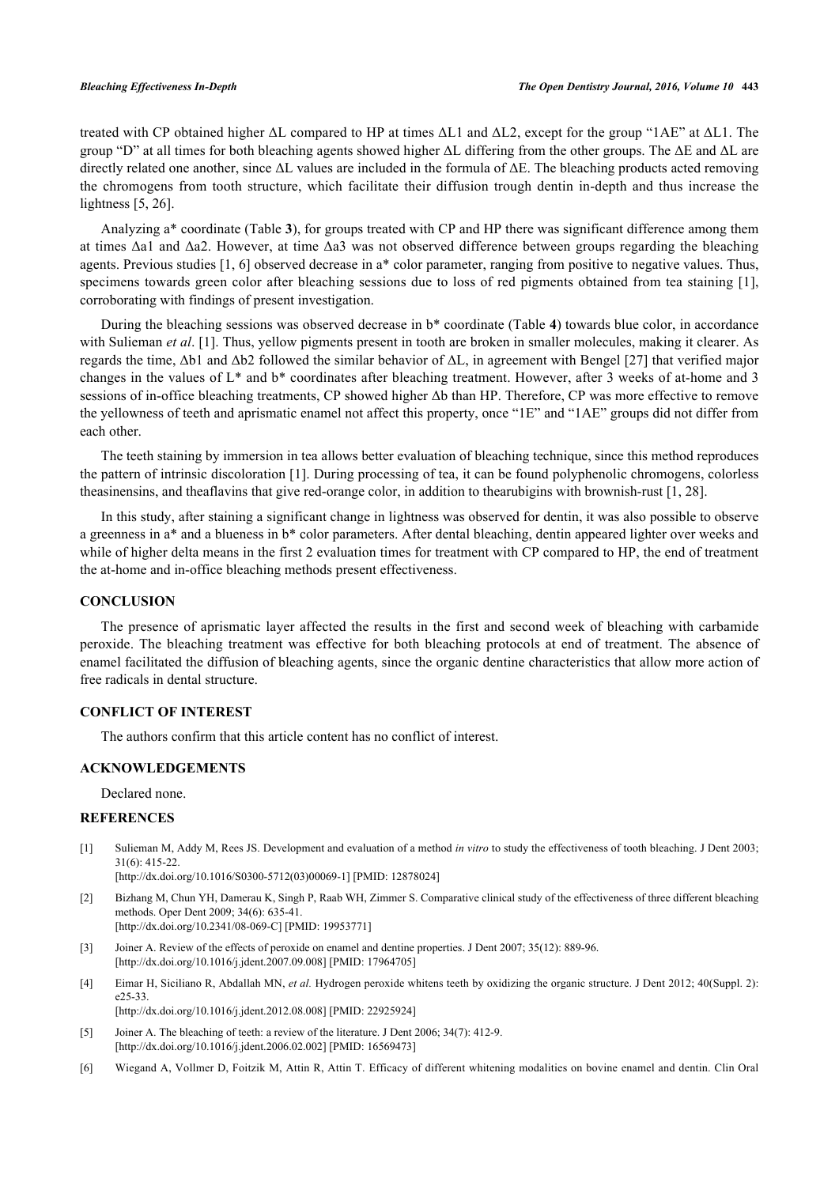treated with CP obtained higher ΔL compared to HP at times ΔL1 and ΔL2, except for the group "1AE" at ΔL1. The group "D" at all times for both bleaching agents showed higher  $ΔL$  differing from the other groups. The  $ΔE$  and  $ΔL$  are directly related one another, since ΔL values are included in the formula of ΔE. The bleaching products acted removing the chromogens from tooth structure, which facilitate their diffusion trough dentin in-depth and thus increase the lightness [\[5](#page-5-4), [26](#page-6-19)].

Analyzing a\* coordinate (Table **[3](#page-3-2)**), for groups treated with CP and HP there was significant difference among them at times Δa1 and Δa2. However, at time Δa3 was not observed difference between groups regarding the bleaching agents. Previous studies [\[1](#page-5-0), [6\]](#page-5-5) observed decrease in a\* color parameter, ranging from positive to negative values. Thus, specimens towards green color after bleaching sessions due to loss of red pigments obtained from tea staining [[1\]](#page-5-0), corroborating with findings of present investigation.

During the bleaching sessions was observed decrease in b\* coordinate (Table **[4](#page-3-0)**) towards blue color, in accordance with Sulieman *et al.* [\[1](#page-5-0)]. Thus, yellow pigments present in tooth are broken in smaller molecules, making it clearer. As regards the time, Δb1 and Δb2 followed the similar behavior of ΔL, in agreement with Bengel [[27\]](#page-6-20) that verified major changes in the values of L\* and b\* coordinates after bleaching treatment. However, after 3 weeks of at-home and 3 sessions of in-office bleaching treatments, CP showed higher Δb than HP. Therefore, CP was more effective to remove the yellowness of teeth and aprismatic enamel not affect this property, once "1E" and "1AE" groups did not differ from each other.

The teeth staining by immersion in tea allows better evaluation of bleaching technique, since this method reproduces the pattern of intrinsic discoloration [[1](#page-5-0)]. During processing of tea, it can be found polyphenolic chromogens, colorless theasinensins, and theaflavins that give red-orange color, in addition to thearubigins with brownish-rust [\[1](#page-5-0), [28](#page-7-0)].

In this study, after staining a significant change in lightness was observed for dentin, it was also possible to observe a greenness in a\* and a blueness in b\* color parameters. After dental bleaching, dentin appeared lighter over weeks and while of higher delta means in the first 2 evaluation times for treatment with CP compared to HP, the end of treatment the at-home and in-office bleaching methods present effectiveness.

### **CONCLUSION**

The presence of aprismatic layer affected the results in the first and second week of bleaching with carbamide peroxide. The bleaching treatment was effective for both bleaching protocols at end of treatment. The absence of enamel facilitated the diffusion of bleaching agents, since the organic dentine characteristics that allow more action of free radicals in dental structure.

#### **CONFLICT OF INTEREST**

The authors confirm that this article content has no conflict of interest.

### **ACKNOWLEDGEMENTS**

Declared none.

#### **REFERENCES**

<span id="page-5-0"></span>[1] Sulieman M, Addy M, Rees JS. Development and evaluation of a method *in vitro* to study the effectiveness of tooth bleaching. J Dent 2003; 31(6): 415-22.

[\[http://dx.doi.org/10.1016/S0300-5712\(03\)00069-1\]](http://dx.doi.org/10.1016/S0300-5712(03)00069-1) [PMID: [12878024](http://www.ncbi.nlm.nih.gov/pubmed/12878024)]

- <span id="page-5-1"></span>[2] Bizhang M, Chun YH, Damerau K, Singh P, Raab WH, Zimmer S. Comparative clinical study of the effectiveness of three different bleaching methods. Oper Dent 2009; 34(6): 635-41. [\[http://dx.doi.org/10.2341/08-069-C](http://dx.doi.org/10.2341/08-069-C)] [PMID: [19953771](http://www.ncbi.nlm.nih.gov/pubmed/19953771)]
- <span id="page-5-2"></span>[3] Joiner A. Review of the effects of peroxide on enamel and dentine properties. J Dent 2007; 35(12): 889-96. [\[http://dx.doi.org/10.1016/j.jdent.2007.09.008](http://dx.doi.org/10.1016/j.jdent.2007.09.008)] [PMID: [17964705\]](http://www.ncbi.nlm.nih.gov/pubmed/17964705)
- <span id="page-5-3"></span>[4] Eimar H, Siciliano R, Abdallah MN, et al. Hydrogen peroxide whitens teeth by oxidizing the organic structure. J Dent 2012; 40(Suppl. 2): e25-33. [\[http://dx.doi.org/10.1016/j.jdent.2012.08.008](http://dx.doi.org/10.1016/j.jdent.2012.08.008)] [PMID: [22925924\]](http://www.ncbi.nlm.nih.gov/pubmed/22925924)
- <span id="page-5-4"></span>[5] Joiner A. The bleaching of teeth: a review of the literature. J Dent 2006; 34(7): 412-9. [\[http://dx.doi.org/10.1016/j.jdent.2006.02.002](http://dx.doi.org/10.1016/j.jdent.2006.02.002)] [PMID: [16569473\]](http://www.ncbi.nlm.nih.gov/pubmed/16569473)
- <span id="page-5-5"></span>[6] Wiegand A, Vollmer D, Foitzik M, Attin R, Attin T. Efficacy of different whitening modalities on bovine enamel and dentin. Clin Oral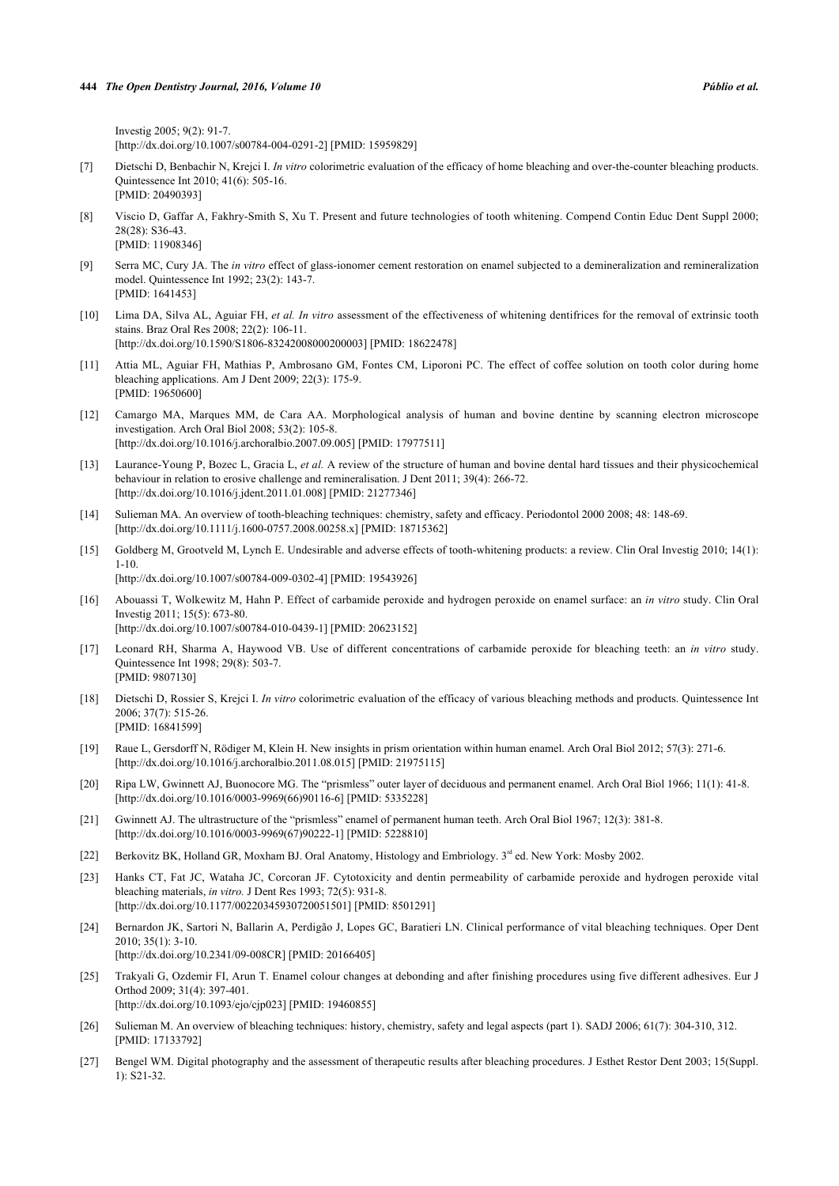Investig 2005; 9(2): 91-7. [\[http://dx.doi.org/10.1007/s00784-004-0291-2\]](http://dx.doi.org/10.1007/s00784-004-0291-2) [PMID: [15959829](http://www.ncbi.nlm.nih.gov/pubmed/15959829)]

- <span id="page-6-0"></span>[7] Dietschi D, Benbachir N, Krejci I. *In vitro* colorimetric evaluation of the efficacy of home bleaching and over-the-counter bleaching products. Quintessence Int 2010; 41(6): 505-16. [PMID: [20490393\]](http://www.ncbi.nlm.nih.gov/pubmed/20490393)
- <span id="page-6-1"></span>[8] Viscio D, Gaffar A, Fakhry-Smith S, Xu T. Present and future technologies of tooth whitening. Compend Contin Educ Dent Suppl 2000; 28(28): S36-43. [PMID: [11908346\]](http://www.ncbi.nlm.nih.gov/pubmed/11908346)
- <span id="page-6-2"></span>[9] Serra MC, Cury JA. The *in vitro* effect of glass-ionomer cement restoration on enamel subjected to a demineralization and remineralization model. Quintessence Int 1992; 23(2): 143-7. [PMID: [1641453\]](http://www.ncbi.nlm.nih.gov/pubmed/1641453)
- <span id="page-6-3"></span>[10] Lima DA, Silva AL, Aguiar FH, *et al. In vitro* assessment of the effectiveness of whitening dentifrices for the removal of extrinsic tooth stains. Braz Oral Res 2008; 22(2): 106-11. [\[http://dx.doi.org/10.1590/S1806-83242008000200003\]](http://dx.doi.org/10.1590/S1806-83242008000200003) [PMID: [18622478](http://www.ncbi.nlm.nih.gov/pubmed/18622478)]
- <span id="page-6-4"></span>[11] Attia ML, Aguiar FH, Mathias P, Ambrosano GM, Fontes CM, Liporoni PC. The effect of coffee solution on tooth color during home bleaching applications. Am J Dent 2009; 22(3): 175-9. [PMID: [19650600\]](http://www.ncbi.nlm.nih.gov/pubmed/19650600)
- <span id="page-6-5"></span>[12] Camargo MA, Marques MM, de Cara AA. Morphological analysis of human and bovine dentine by scanning electron microscope investigation. Arch Oral Biol 2008; 53(2): 105-8. [\[http://dx.doi.org/10.1016/j.archoralbio.2007.09.005](http://dx.doi.org/10.1016/j.archoralbio.2007.09.005)] [PMID: [17977511](http://www.ncbi.nlm.nih.gov/pubmed/17977511)]
- <span id="page-6-6"></span>[13] Laurance-Young P, Bozec L, Gracia L, *et al.* A review of the structure of human and bovine dental hard tissues and their physicochemical behaviour in relation to erosive challenge and remineralisation. J Dent 2011; 39(4): 266-72. [\[http://dx.doi.org/10.1016/j.jdent.2011.01.008](http://dx.doi.org/10.1016/j.jdent.2011.01.008)] [PMID: [21277346\]](http://www.ncbi.nlm.nih.gov/pubmed/21277346)
- <span id="page-6-7"></span>[14] Sulieman MA. An overview of tooth-bleaching techniques: chemistry, safety and efficacy. Periodontol 2000 2008; 48: 148-69. [\[http://dx.doi.org/10.1111/j.1600-0757.2008.00258.x\]](http://dx.doi.org/10.1111/j.1600-0757.2008.00258.x) [PMID: [18715362](http://www.ncbi.nlm.nih.gov/pubmed/18715362)]
- <span id="page-6-8"></span>[15] Goldberg M, Grootveld M, Lynch E. Undesirable and adverse effects of tooth-whitening products: a review. Clin Oral Investig 2010; 14(1): 1-10. [\[http://dx.doi.org/10.1007/s00784-009-0302-4\]](http://dx.doi.org/10.1007/s00784-009-0302-4) [PMID: [19543926](http://www.ncbi.nlm.nih.gov/pubmed/19543926)]
- <span id="page-6-9"></span>[16] Abouassi T, Wolkewitz M, Hahn P. Effect of carbamide peroxide and hydrogen peroxide on enamel surface: an *in vitro* study. Clin Oral Investig 2011; 15(5): 673-80. [\[http://dx.doi.org/10.1007/s00784-010-0439-1\]](http://dx.doi.org/10.1007/s00784-010-0439-1) [PMID: [20623152](http://www.ncbi.nlm.nih.gov/pubmed/20623152)]
- <span id="page-6-10"></span>[17] Leonard RH, Sharma A, Haywood VB. Use of different concentrations of carbamide peroxide for bleaching teeth: an *in vitro* study. Quintessence Int 1998; 29(8): 503-7. [PMID: [9807130\]](http://www.ncbi.nlm.nih.gov/pubmed/9807130)
- <span id="page-6-11"></span>[18] Dietschi D, Rossier S, Krejci I. *In vitro* colorimetric evaluation of the efficacy of various bleaching methods and products. Quintessence Int 2006; 37(7): 515-26. [PMID: [16841599\]](http://www.ncbi.nlm.nih.gov/pubmed/16841599)
- <span id="page-6-12"></span>[19] Raue L, Gersdorff N, Rödiger M, Klein H. New insights in prism orientation within human enamel. Arch Oral Biol 2012; 57(3): 271-6. [\[http://dx.doi.org/10.1016/j.archoralbio.2011.08.015](http://dx.doi.org/10.1016/j.archoralbio.2011.08.015)] [PMID: [21975115](http://www.ncbi.nlm.nih.gov/pubmed/21975115)]
- <span id="page-6-13"></span>[20] Ripa LW, Gwinnett AJ, Buonocore MG. The "prismless" outer layer of deciduous and permanent enamel. Arch Oral Biol 1966; 11(1): 41-8. [\[http://dx.doi.org/10.1016/0003-9969\(66\)90116-6](http://dx.doi.org/10.1016/0003-9969(66)90116-6)] [PMID: [5335228](http://www.ncbi.nlm.nih.gov/pubmed/5335228)]
- <span id="page-6-14"></span>[21] Gwinnett AJ. The ultrastructure of the "prismless" enamel of permanent human teeth. Arch Oral Biol 1967; 12(3): 381-8. [\[http://dx.doi.org/10.1016/0003-9969\(67\)90222-1](http://dx.doi.org/10.1016/0003-9969(67)90222-1)] [PMID: [5228810](http://www.ncbi.nlm.nih.gov/pubmed/5228810)]
- <span id="page-6-15"></span>[22] Berkovitz BK, Holland GR, Moxham BJ. Oral Anatomy, Histology and Embriology. 3<sup>rd</sup> ed. New York: Mosby 2002.
- <span id="page-6-16"></span>[23] Hanks CT, Fat JC, Wataha JC, Corcoran JF. Cytotoxicity and dentin permeability of carbamide peroxide and hydrogen peroxide vital bleaching materials, *in vitro.* J Dent Res 1993; 72(5): 931-8. [\[http://dx.doi.org/10.1177/00220345930720051501\]](http://dx.doi.org/10.1177/00220345930720051501) [PMID: [8501291](http://www.ncbi.nlm.nih.gov/pubmed/8501291)]
- <span id="page-6-17"></span>[24] Bernardon JK, Sartori N, Ballarin A, Perdigão J, Lopes GC, Baratieri LN. Clinical performance of vital bleaching techniques. Oper Dent 2010; 35(1): 3-10. [\[http://dx.doi.org/10.2341/09-008CR](http://dx.doi.org/10.2341/09-008CR)] [PMID: [20166405\]](http://www.ncbi.nlm.nih.gov/pubmed/20166405)
- <span id="page-6-18"></span>[25] Trakyali G, Ozdemir FI, Arun T. Enamel colour changes at debonding and after finishing procedures using five different adhesives. Eur J Orthod 2009; 31(4): 397-401. [\[http://dx.doi.org/10.1093/ejo/cjp023\]](http://dx.doi.org/10.1093/ejo/cjp023) [PMID: [19460855](http://www.ncbi.nlm.nih.gov/pubmed/19460855)]
- <span id="page-6-19"></span>[26] Sulieman M. An overview of bleaching techniques: history, chemistry, safety and legal aspects (part 1). SADJ 2006; 61(7): 304-310, 312. [PMID: [17133792\]](http://www.ncbi.nlm.nih.gov/pubmed/17133792)
- <span id="page-6-20"></span>[27] Bengel WM. Digital photography and the assessment of therapeutic results after bleaching procedures. J Esthet Restor Dent 2003; 15(Suppl. 1): S21-32.